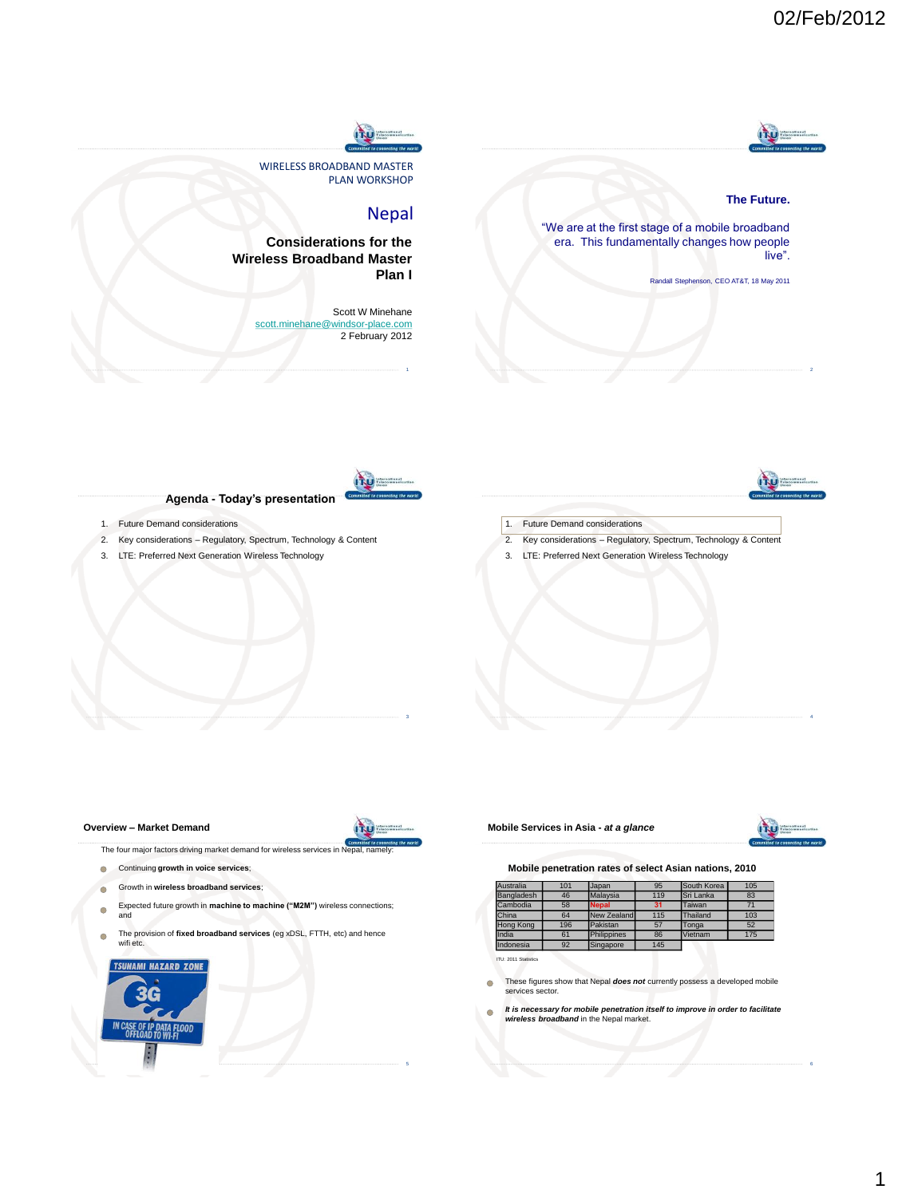

## **The Future.**

"We are at the first stage of a mobile broadband era. This fundamentally changes how people live".

Randall Stephenson, CEO AT&T, 18 May 2011



**Plan I**

Nepal

Scott W Minehane

PLAN WORKSHOP

**ITU** 

**Considerations for the Wireless Broadband Master** 

WIRELESS BROADBAND MASTER

[scott.minehane@windsor-place.com](mailto:scott.minehane@windsor-place.com) 2 February 2012

## **Agenda - Today's presentation**

- 1. Future Demand considerations
- 2. Key considerations Regulatory, Spectrum, Technology & Content
- 3. LTE: Preferred Next Generation Wireless Technology



- 2. Key considerations Regulatory, Spectrum, Technology & Content
- 3. LTE: Preferred Next Generation Wireless Technology

#### **Overview – Market Demand**



The four major factors driving market demand for wireless services in

- **Continuing growth in voice services;**
- $\circ$ Growth in **wireless broadband services**;
- $\circ$ Expected future growth in **machine to machine ("M2M")** wireless connections; and
- The provision of **fixed broadband services** (eg xDSL, FTTH, etc) and hence  $\bigcirc$ wifi etc.



### **Mobile Services in Asia -** *at a glance*



## **Mobile penetration rates of select Asian nations, 2010**

| <b>Australia</b> | 101 | Japan        | 95  | South Korea | 105 |
|------------------|-----|--------------|-----|-------------|-----|
| Bangladesh       | 46  | Malavsia     | 119 | Sri Lanka   | 83  |
| Cambodia         | 58  | <b>Nepal</b> | 31  | Taiwan      | 71  |
| China            | 64  | New Zealand  | 115 | Thailand    | 103 |
| <b>Hong Kong</b> | 196 | Pakistan     | 57  | Tonga       | 52  |
| India            | 61  | Philippines  | 86  | Vietnam     | 175 |
| Indonesia        | 92  | Singapore    | 145 |             |     |

 $IU: 2011$  St

- These figures show that Nepal *does not* currently possess a developed mobile  $\circ$ services sector.
- $\triangle$ *It is necessary for mobile penetration itself to improve in order to facilitate wireless broadband* in the Nepal market.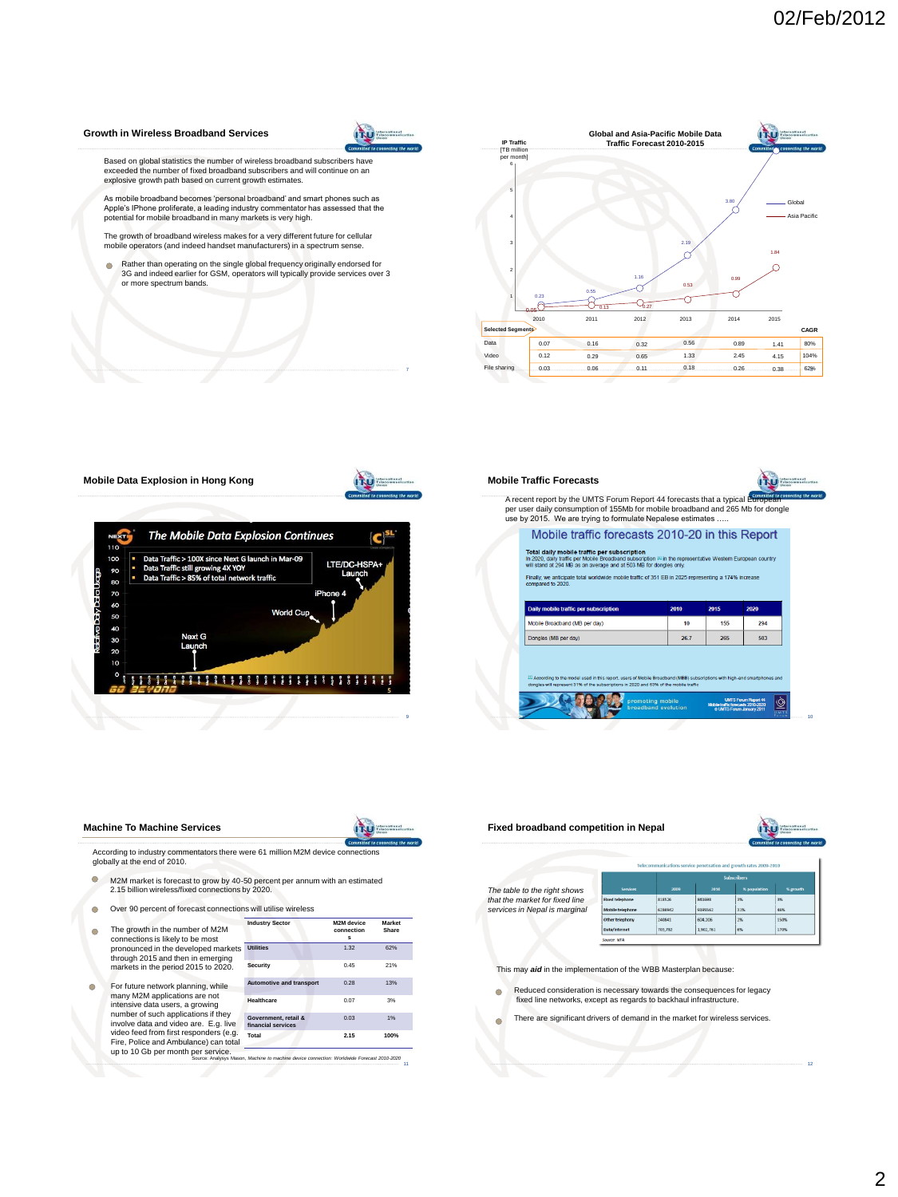#### **Growth in Wireless Broadband Services**



Based on global statistics the number of wireless broadband subscribers have<br>exceeded the number of fixed broadband subscribers and will continue on an<br>explosive growth path based on current growth estimates.

As mobile broadband becomes "personal broadband" and smart phones such as Apple"s IPhone proliferate, a leading industry commentator has assessed that the potential for mobile broadband in many markets is very high.

The growth of broadband wireless makes for a very different future for cellular mobile operators (and indeed handset manufacturers) in a spectrum sense.

Rather than operating on the single global frequency originally endorsed for 3G and indeed earlier for GSM, operators will typically provide services over 3 or more spectrum bands.







# **Mobile Traffic Forecasts**



A recent report by the UMTS Forum Report 44 forecasts that a typical per user daily consumption of 155Mb for mobile broadband and 265 Mb for dongle use by 2015. We are trying to formulate Nepalese estimates …..

| Finally, we anticipate total worldwide mobile traffic of 351 EB in 2025 representing a 174% increase<br>compared to 2020. |      |      |      |  |  |
|---------------------------------------------------------------------------------------------------------------------------|------|------|------|--|--|
|                                                                                                                           |      |      |      |  |  |
| <b>Daily mobile traffic per subscription</b>                                                                              | 2010 | 2015 | 2020 |  |  |
| Mobile Broadband (MB per day)                                                                                             | 10   | 155  | 294  |  |  |
| Dongles (MB per day)                                                                                                      | 26.7 | 265  | 503  |  |  |

 $\circledcirc$ 10 <sup>10</sup>

#### **Machine To Machine Services**

**ITU** 

According to industry commentators there were 61 million M2M device connections globally at the end of 2010.

- $\circ$ M2M market is forecast to grow by 40-50 percent per annum with an estimated 2.15 billion wireless/fixed connections by 2020.
- $\overline{O}$ Over 90 percent of forecast connections will utilise wireless
- The growth in the number of M2M  $\bigcirc$ connections is likely to be most pronounced in the developed markets through 2015 and then in emerging markets in the period 2015 to 2020.
- For future network planning, while  $\circ$ many M2M applications are not intensive data users, a growing number of such applications if they involve data and video are. E.g. live video feed from first responders (e.g. Fire, Police and Ambulance) can total up to 10 Gb per month per service.

| <b>Industry Sector</b>                     | M2M device<br>connection<br>я | <b>Market</b><br>Share |
|--------------------------------------------|-------------------------------|------------------------|
| <b>Utilities</b>                           | 1.32                          | 62%                    |
| Security                                   | 0.45                          | 21%                    |
| <b>Automotive and transport</b>            | 0.28                          | 13%                    |
| Healthcare                                 | 0.07                          | 3%                     |
| Government, retail &<br>financial services | 0.03                          | 1%                     |
| Total                                      | 2.15                          | 100%                   |

11 <sup>11</sup> Source: Analysys Mason, *Machine to machine device connection: Worldwide Forecast 2010-2020*



12 <sup>12</sup>

This may *aid* in the implementation of the WBB Masterplan because:

- ced consideration is necessary towards the consequences for legacy  $\bigcirc$ fixed line networks, except as regards to backhaul infrastructure.
- There are significant drivers of demand in the market for wireless services. $\triangle$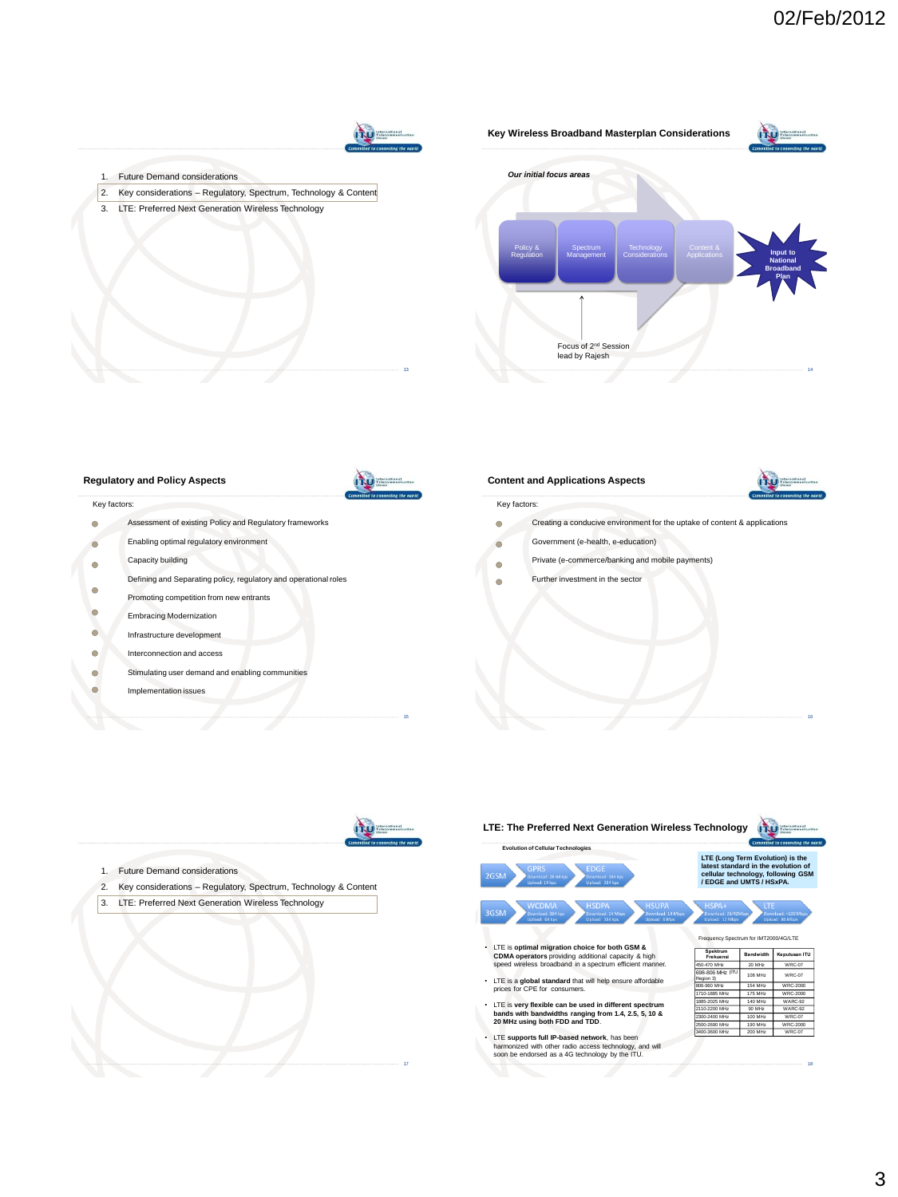

- $\circ$ Assessment of existing Policy and Regulatory frameworks
- Enabling optimal regulatory environment  $\circ$
- Capacity building  $\circ$
- Defining and Separating policy, regulatory and operational roles  $\circ$
- Promoting competition from new entrants
- $\circ$ Embracing Modernization
- $\bigcirc$ Infrastructure development
- $\circ$ Interconnection and access
- Stimulating user demand and enabling communities  $\bigcap$
- $\ddot{\circ}$ Implementation issues





15 <sup>15</sup>

17 <sup>17</sup>

- 1. Future Demand considerations
- 2. Key considerations Regulatory, Spectrum, Technology & Content
- 3. LTE: Preferred Next Generation Wireless Technology

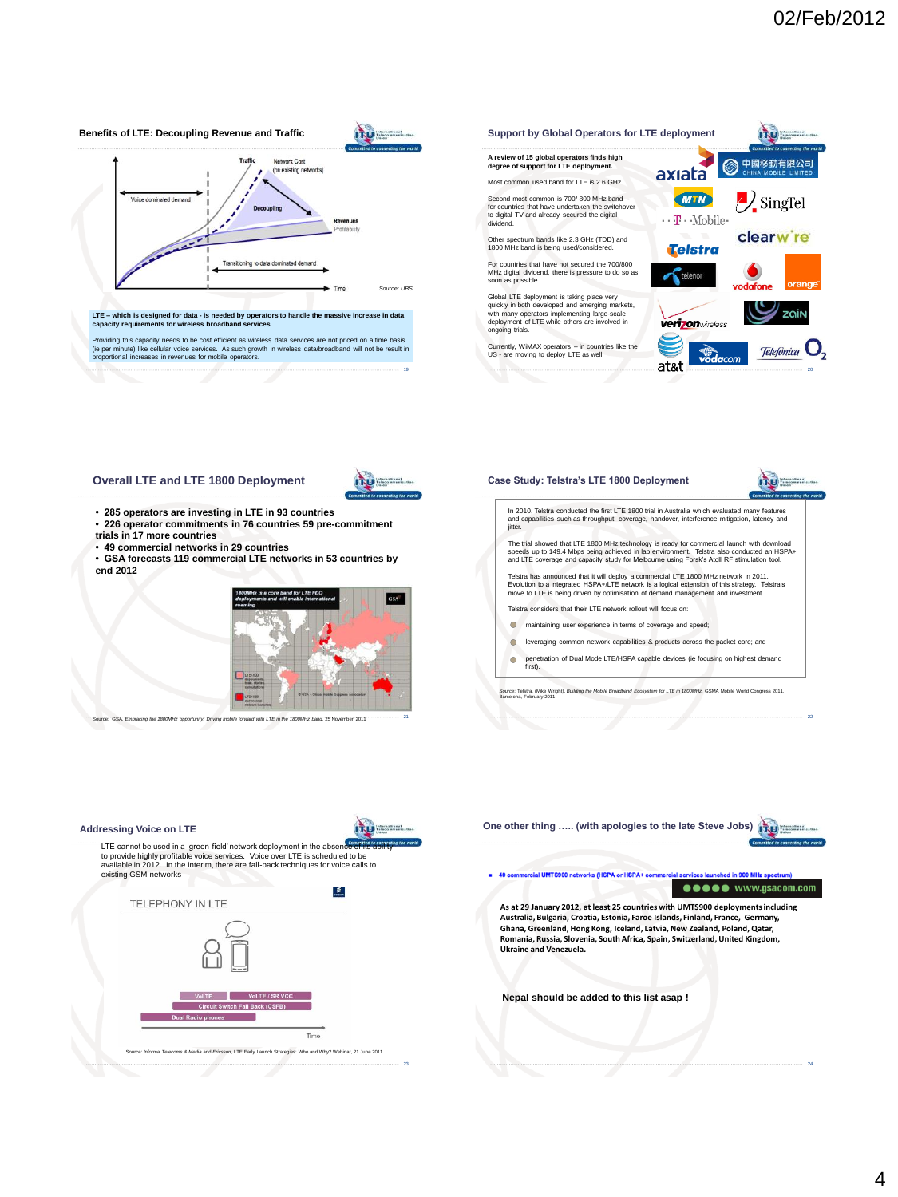

23 <sup>23</sup>

24 <sup>24</sup>